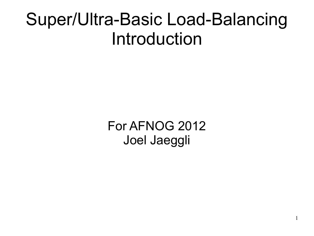#### Super/Ultra-Basic Load-Balancing Introduction

For AFNOG 2012 Joel Jaeggli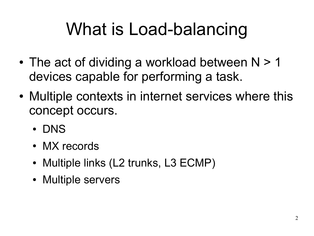## What is Load-balancing

- The act of dividing a workload between  $N > 1$ devices capable for performing a task.
- Multiple contexts in internet services where this concept occurs.
	- DNS
	- MX records
	- Multiple links (L2 trunks, L3 ECMP)
	- Multiple servers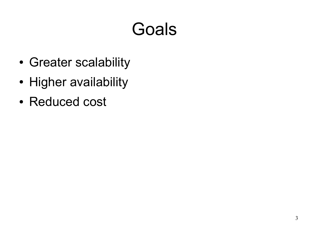### Goals

- Greater scalability
- Higher availability
- Reduced cost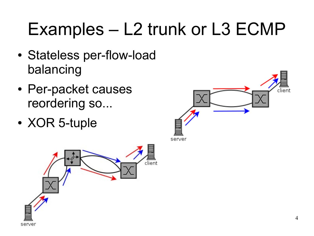## Examples – L2 trunk or L3 ECMP

- Stateless per-flow-load balancing
- Per-packet causes reordering so...
- XOR 5-tuple



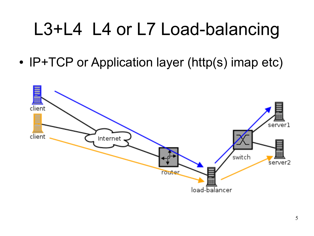## L3+L4 L4 or L7 Load-balancing

• IP+TCP or Application layer (http(s) imap etc)

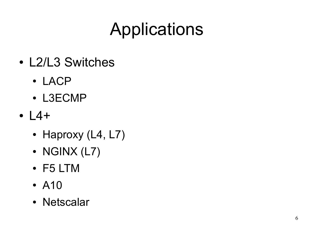## Applications

- L2/L3 Switches
	- LACP
	- L3ECMP
- $14 +$ 
	- Haproxy (L4, L7)
	- $\bullet$  NGINX (L7)
	- F5 LTM
	- A10
	- Netscalar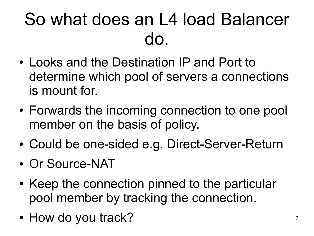### So what does an L4 load Balancer do.

- Looks and the Destination IP and Port to determine which pool of servers a connections is mount for.
- Forwards the incoming connection to one pool member on the basis of policy.
- Could be one-sided e.g. Direct-Server-Return
- Or Source-NAT
- Keep the connection pinned to the particular pool member by tracking the connection.
- How do you track?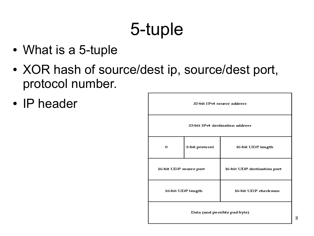## 5-tuple

- What is a 5-tuple
- XOR hash of source/dest ip, source/dest port, protocol number.
- IP header

| 32-bit IPv4 source address      |                |                             |  |  |
|---------------------------------|----------------|-----------------------------|--|--|
| 32-bit IPv4 destination address |                |                             |  |  |
| 0                               | 8-bit protocol | 16-bit UDP length           |  |  |
| 16-bit UDP source port          |                | 16-bit UDP destination port |  |  |
| 16-bit UDP length               |                | 16-bit UDP checksum         |  |  |
| Data (and possible pad byte)    |                |                             |  |  |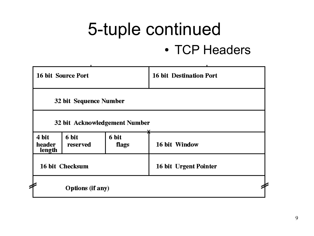#### 5-tuple continued • TCP Headers

|                           | 16 bit Source Port      |                               | <b>16 bit Destination Port</b> |  |
|---------------------------|-------------------------|-------------------------------|--------------------------------|--|
|                           | 32 bit Sequence Number  |                               |                                |  |
|                           |                         | 32 bit Acknowledgement Number |                                |  |
| 4 bit<br>header<br>length | 6 bit<br>reserved       | 6 bit<br>flags                | 16 bit Window                  |  |
|                           | 16 bit Checksum         |                               | 16 bit Urgent Pointer          |  |
|                           | <b>Options</b> (if any) |                               |                                |  |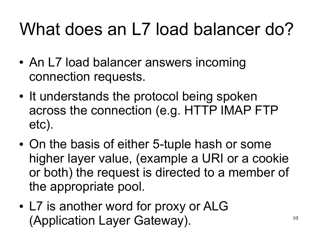## What does an L7 load balancer do?

- An L7 load balancer answers incoming connection requests.
- It understands the protocol being spoken across the connection (e.g. HTTP IMAP FTP etc).
- On the basis of either 5-tuple hash or some higher layer value, (example a URI or a cookie or both) the request is directed to a member of the appropriate pool.
- L7 is another word for proxy or ALG (Application Layer Gateway).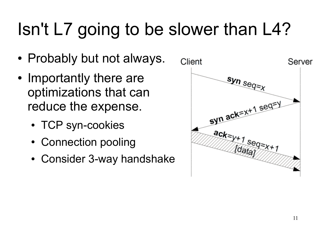## Isn't L7 going to be slower than L4?

- Probably but not always.
- Importantly there are optimizations that can reduce the expense.
	- TCP syn-cookies
	- Connection pooling
	- Consider 3-way handshake

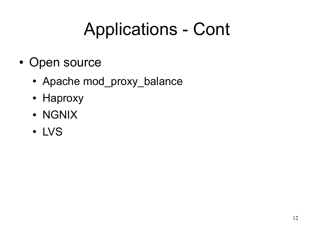### Applications - Cont

- Open source
	- Apache mod\_proxy\_balance
	- Haproxy
	- NGNIX
	- LVS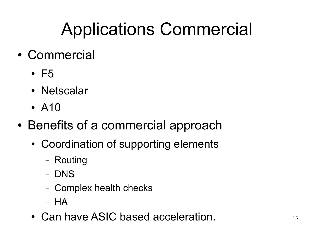## Applications Commercial

- Commercial
	- $\cdot$  F5
	- Netscalar
	- $\bullet$  A10
- Benefits of a commercial approach
	- Coordination of supporting elements
		- Routing
		- DNS
		- Complex health checks
		- HA
	- Can have ASIC based acceleration.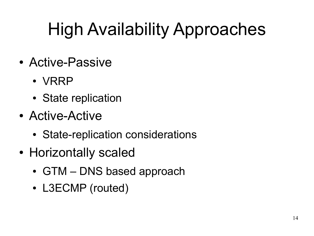## High Availability Approaches

- Active-Passive
	- VRRP
	- State replication
- Active-Active
	- State-replication considerations
- Horizontally scaled
	- GTM DNS based approach
	- L3ECMP (routed)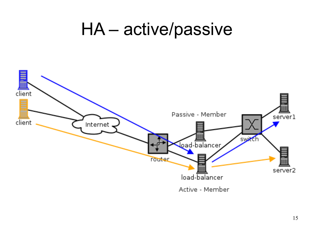#### HA - active/passive

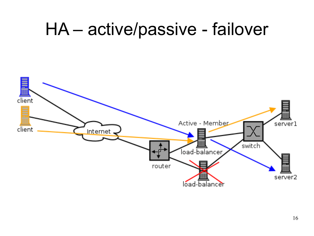#### HA - active/passive - failover

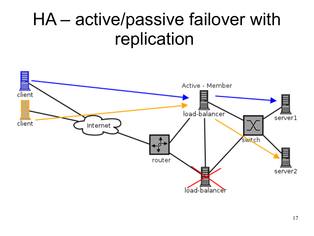### HA - active/passive failover with replication

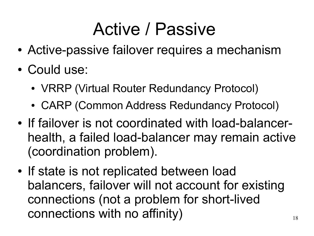### Active / Passive

- Active-passive failover requires a mechanism
- Could use:
	- VRRP (Virtual Router Redundancy Protocol)
	- CARP (Common Address Redundancy Protocol)
- If failover is not coordinated with load-balancerhealth, a failed load-balancer may remain active (coordination problem).
- If state is not replicated between load balancers, failover will not account for existing connections (not a problem for short-lived connections with no affinity)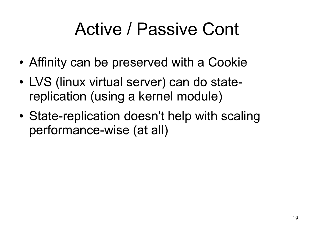### Active / Passive Cont

- Affinity can be preserved with a Cookie
- LVS (linux virtual server) can do statereplication (using a kernel module)
- State-replication doesn't help with scaling performance-wise (at all)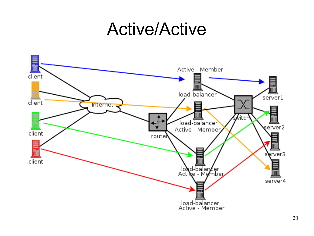#### Active/Active

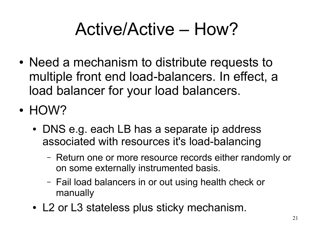### Active/Active – How?

- Need a mechanism to distribute requests to multiple front end load-balancers. In effect, a load balancer for your load balancers.
- HOW?
	- DNS e.g. each LB has a separate ip address associated with resources it's load-balancing
		- Return one or more resource records either randomly or on some externally instrumented basis.
		- Fail load balancers in or out using health check or manually
	- L2 or L3 stateless plus sticky mechanism.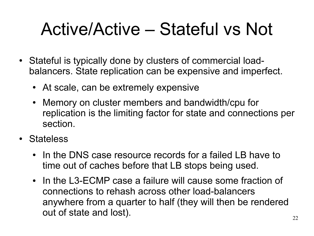### Active/Active – Stateful vs Not

- Stateful is typically done by clusters of commercial loadbalancers. State replication can be expensive and imperfect.
	- At scale, can be extremely expensive
	- Memory on cluster members and bandwidth/cpu for replication is the limiting factor for state and connections per section.
- Stateless
	- In the DNS case resource records for a failed LB have to time out of caches before that LB stops being used.
	- In the L3-ECMP case a failure will cause some fraction of connections to rehash across other load-balancers anywhere from a quarter to half (they will then be rendered out of state and lost).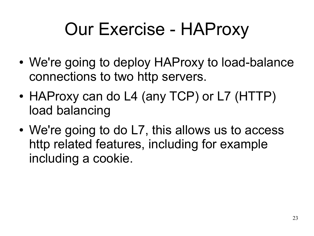### Our Exercise - HAProxy

- We're going to deploy HAProxy to load-balance connections to two http servers.
- HAProxy can do L4 (any TCP) or L7 (HTTP) load balancing
- We're going to do L7, this allows us to access http related features, including for example including a cookie.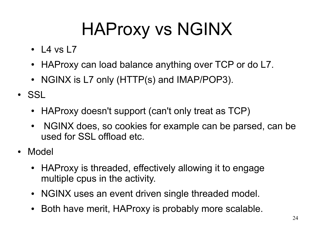## HAProxy vs NGINX

- $\cdot$  L4 vs L7
- HAProxy can load balance anything over TCP or do L7.
- NGINX is L7 only (HTTP(s) and IMAP/POP3).
- SSL
	- HAProxy doesn't support (can't only treat as TCP)
	- NGINX does, so cookies for example can be parsed, can be used for SSL offload etc.
- Model
	- HAProxy is threaded, effectively allowing it to engage multiple cpus in the activity.
	- NGINX uses an event driven single threaded model.
	- Both have merit, HAProxy is probably more scalable.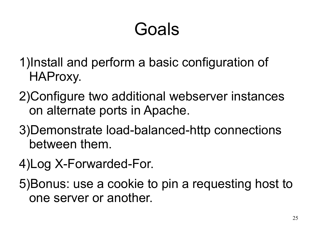### Goals

- 1)Install and perform a basic configuration of HAProxy.
- 2)Configure two additional webserver instances on alternate ports in Apache.
- 3)Demonstrate load-balanced-http connections between them.
- 4)Log X-Forwarded-For.

5)Bonus: use a cookie to pin a requesting host to one server or another.